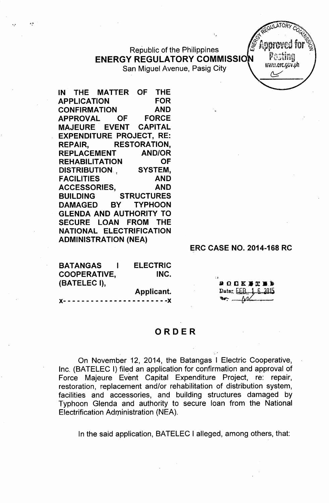Republic of the Philippines  $ENERGY REGULATORY COMMISSION  $PROOFC.$$ 

San Miguel Avenue, Pasig City

IN THE MATTER OF THE APPLICATION FOR CONFIRMATION AND APPROVAL OF FORCE MAJEURE' EVENT CAPITAL EXPENDITURE PROJECT, RE: REPAIR, RESTORATION, REPLACEMENT AND/OR REHABILITATION OF DISTRIBUTION SYSTEM, FACILITIES AND ACCESSORIES, AND BUILDING STRUCTURES DAMAGED BY TYPHOON GLENDA AND AUTHORITY TO SECURE LOAN FROM THE NATIONAL ELECTRIFICATION ADMINISTRATION (NEA)

ERC CASE NO. 2014-168 RC

| <b>BATANGAS</b>     | <b>ELECTRIC</b> |
|---------------------|-----------------|
| <b>COOPERATIVE,</b> | INC.            |
| (BATELEC I),        |                 |
|                     | Applicant.      |

**)(- - - - - - - - - - - - - - - - - - - - - - -)(**

## ORDER

On November 12, 2014, the Batangas I Electric Cooperative, Inc. (BATELEC I) filed an application for confirmation and approval of Force Majeure Event Capital Expenditure Project, re: repair, restoration, replacement and/or rehabilitation of distribution system, facilities and accessories, and building structures damaged by Typhoon Glenda and authority to secure loan from the National Electrification Administration (NEA).

In the said application, BATELEC I alleged, among others, that:

 $0$   $0$  K  $\mu$  T I

Date: EEB. 1.6.2015

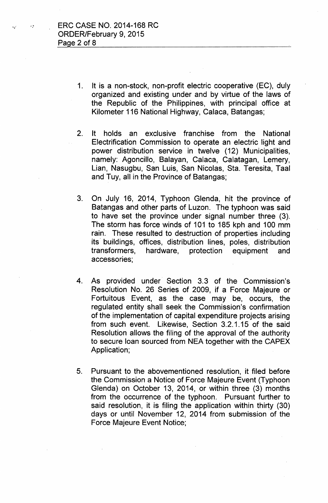- 1. It is a non-stock, non-profit electric cooperative (EC), duly organized and existing under and by virtue of the laws of the Republic of the Philippines, with principal office at Kilometer 116 National Highway, Calaca, Batangas;
- 2. It holds an exclusive franchise from the National Electrification Commission to operate an electric light and power distribution service in twelve (12) Municipalities, namely: Agoncillo, Balayan, Calaca, Calatagan, Lemery, Lian, Nasugbu, San Luis, San Nicolas, Sta. Teresita, Taal and Tuy, all in the Province of Batangas;
- 3. On July 16, 2014, Typhoon Glenda, hit the province of Batangas and other parts of Luzon. The typhoon was said to have set the province under signal number three (3). The storm has force winds of 101 to 185 kph and 100 mm rain. These resulted to destruction of properties including its buildings, offices, distribution lines, poles, distribution transformers, hardware, protection equipment and accessories;
- 4. As provided under Section 3.3 of the Commission's Resolution No. 26 Series of 2009, if a Force Majeure or Fortuitous Event, as the case may be, occurs, the regulated entity shall seek the Commission's confirmation of the implementation of capital expenditure projects arising from such event. Likewise, Section 3.2.1.15 of the said Resolution allows the filing of the approval of the authority to secure loan sourced from NEA together with the CAPEX Application;
- 5. Pursuant to the abovementioned resolution, it filed before the Commission a Notice of Force Majeure Event (Typhoon Glenda) on October 13, 2014, or within three (3) months from the occurrence of the typhoon. Pursuant further to said resolution, it is filing the application within thirty (30) days or until November 12, 2014 from submission of the Force Majeure Event Notice;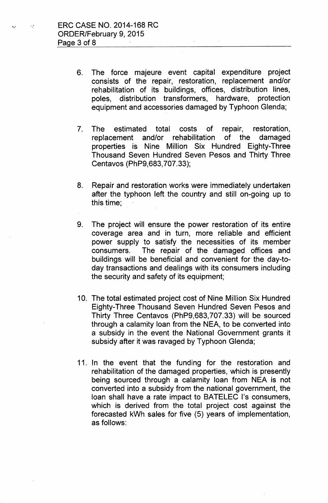- 6. The farce majeure event capital expenditure praject consists of the repair, restoration, replacement and/or rehabilitation of its buildings, offices, distribution lines, poles, distribution transformers, hardware, protection equipment and accessories damaged by Typhoon Glenda;
- 7. The estimated total costs of repair, restoration, replacement and/or rehabilitation of the damaged properties is Nine Million Six Hundred Eighty-Three Thousand Seven Hundred Seven Pesos and Thirty Three Centavas (PhP9,683,707.33);
- 8. Repair and restoration works were immediately undertaken after the typhoon left the country and still on-going up to this time;
- 9. The project will ensure the power restoration of its entire coverage area and in turn, more reliable and efficient power supply to satisfy the necessities of its member consumers. The repair of the damaged offices and buildings will be beneficial and convenient for the day-today transactions and dealings with its consumers including the security and safety of its equipment;
- 10. The total estimated project cost of Nine Million Six Hundred Eighty-Three Thousand Seven Hundred Seven Pesos and Thirty Three Centavos (PhP9,683,707.33) will be sourced through a calamity loan from the NEA, to be converted into. a subsidy in the event the National Government grants it subsidy after it was ravaged by Typhoon Glenda;
- 11. In the event that the funding for the restoration and rehabilitation of the damaged properties, which is presently being sourced through a calamity loan from NEA is not converted into a subsidy from the national government, the loan shall have a rate impact to BATELEC I's consumers, which is derived from the total project cost against the forecasted kWh sales for five (5) years of implementation, as follows: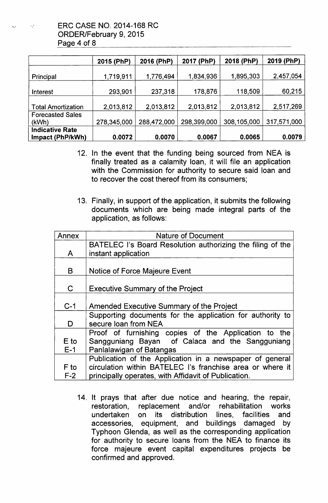$\cdot$  ... ERC CASE NO. 2014-168 RC ORDER/February 9, 2015 Page  $4$  of  $8$ 

|                                            | 2015 (PhP)  | 2016 (PhP)  | 2017 (PhP)  | 2018 (PhP)  | 2019 (PhP)  |
|--------------------------------------------|-------------|-------------|-------------|-------------|-------------|
| Principal                                  | 1,719,911   | 1,776,494   | 1,834,936   | 1,895,303   | 2,457,054   |
| Interest                                   | 293,901     | 237,318     | 178,876     | 118,509     | 60,215      |
| <b>Total Amortization</b>                  | 2,013,812   | 2,013,812   | 2,013,812   | 2,013,812   | 2,517,269   |
| <b>Forecasted Sales</b><br>(kWh)           | 278,345,000 | 288,472,000 | 298,399,000 | 308,105,000 | 317,571,000 |
| <b>Indicative Rate</b><br>Impact (PhP/kWh) | 0.0072      | 0.0070      | 0.0067      | 0.0065      | 0.0079      |

- 12. In the event that the funding being sourced from NEA is finally treated as a calamity loan, it will file an application with the Commission for authority to secure said loan and to recover the cost thereof from its consumers;
- 13. Finally, in support of the application, it submits the following documents which are being made integral parts of the application, as follows:

| Annex       | <b>Nature of Document</b>                                  |
|-------------|------------------------------------------------------------|
|             | BATELEC I's Board Resolution authorizing the filing of the |
| A           | instant application                                        |
|             |                                                            |
| B           | <b>Notice of Force Majeure Event</b>                       |
|             |                                                            |
| $\mathsf C$ | <b>Executive Summary of the Project</b>                    |
|             |                                                            |
| $C-1$       | Amended Executive Summary of the Project                   |
|             | Supporting documents for the application for authority to  |
| D           | secure loan from NEA                                       |
|             | Proof of furnishing copies of the Application to the       |
| $E$ to      | Sangguniang Bayan of Calaca and the Sangguniang            |
| $E-1$       | Panlalawigan of Batangas                                   |
|             | Publication of the Application in a newspaper of general   |
| F to        | circulation within BATELEC I's franchise area or where it  |
| $F-2$       | principally operates, with Affidavit of Publication.       |

14. It prays that after due notice and hearing, the repair, restoration, replacement and/or rehabilitation works undertaken on its distribution lines, facilities and accessories, equipment, and buildings damaged by Typhoon Glenda, as well as the corresponding application for authority to secure loans from the NEA to finance its force majeure event capital expenditures projects be confirmed and approved.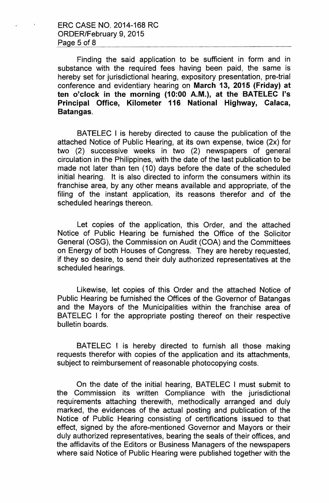Finding the said application to be sufficient in form and in substance with the required fees having been paid, the same is hereby set for jurisdictional hearing, expository presentation, pre-trial conference and evidentiary hearing on **March 13, 2015 (Friday) at ten o'clock in the morning (10:00 A.M.), at the BATELEC I's Principal Office, Kilometer 116 National Highway, Calaca, Batangas.**

BATELEC I is hereby directed to cause the publication of the attached Notice of Public Hearing, at its own expense, twice (2x) for two (2) successive weeks in two (2) newspapers of general circulation in the Philippines, with the date of the last publication to be made not later than ten (10) days before the date of the scheduled initial hearing. It is also directed to inform the consumers within its franchise area, by any other means available and appropriate, of the filing of the instant application, its reasons therefor and of the scheduled hearings thereon.

Let copies of the application, this Order, and the attached Notice of Public Hearing be furnished the Office of the Solicitor General (OSG), the Commission on Audit (COA) and the Committees on Energy of both Houses of Congress. They are hereby requested, if they so desire, to send their duly authorized representatives at the scheduled hearings.

Likewise, let copies of this Order and the attached Notice of Public Hearing be furnished the Offices of the Governor of Batangas and the Mayors of the Municipalities within the franchise area of BATELEC I for the appropriate posting thereof on their respective bulletin boards.

BATELEC I is hereby directed to furnish all those making requests therefor with copies of the application and its attachments, subject to reimbursement of reasonable photocopying costs.

On the date of the initial hearing, BATELEC I must submit to the Commission its written Compliance with the jurisdictional requirements attaching therewith, methodically arranged and duly marked, the evidences of the actual posting and publication of the Notice of Public Hearing consisting of certifications issued to that effect, signed by the afore-mentioned Governor and Mayors or their duly authorized representatives, bearing the seals of their offices, and the affidavits of the Editors or Business Managers of the newspapers where said Notice of Public Hearing were published together with the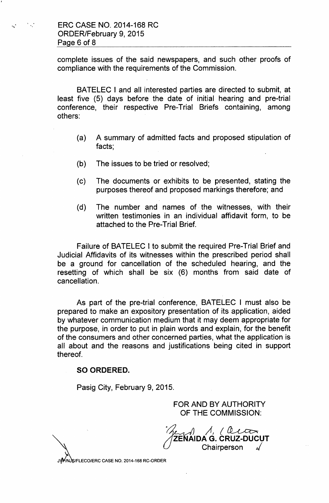..

complete issues of the said newspapers, and such other proofs of compliance with the requirements of the Commission.

BATELEC I and all interested parties are directed to submit, at least five (5) days before the date of initial hearing and pre-trial conference, their respective Pre-Trial Briefs containing, among others:

- (a) A summary of admitted facts and proposed stipulation of facts;
- (b) The issues to be tried or resolved;
- (c) The documents or exhibits to be presented, stating the purposes thereof and proposed markings therefore; and
- (d) The number and names of the witnesses, with their written testimonies in an individual affidavit form, to be attached to the Pre-Trial Brief.

Failure of BATELEC I to submit the required Pre-Trial Brief and Judicial Affidavits of its witnesses within the prescribed period shall be a ground for cancellation of the scheduled hearing, and the resetting of which shall be six (6) months from said date of cancellation.

As part of the pre-trial conference, BATELEC I must also be prepared to make an expository presentation of its application, aided by whatever communication medium that it may deem appropriate for the purpose, in order to put in plain words and explain, for the benefit of the consumers and other concerned parties, what the application is all about and the reasons and justifications being cited in support thereof.

## **SO ORDERED.**

Pasig City, February 9, 2015.

FOR AND BY AUTHORITY OF THE COMMISSION:

*~*  $\Lambda$ , *(llta*) **ZENAIDA G. CRUZ-DUCUT** Chairperson *J*

J~ IFLECO/ERC CASE NO. 2014-168 RC-ORDER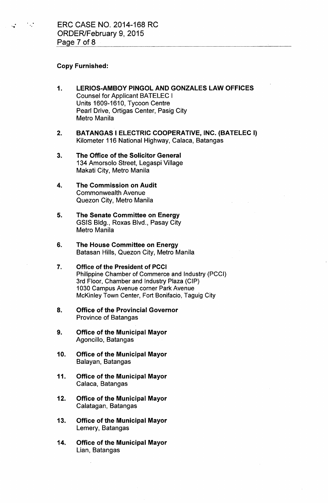## Copy Furnished:

- 1. LERIOS-AMBOY PINGOL AND GONZALES LAW OFFICES Counsel for Applicant BATELEC I Units 1609-1610, Tycoon Centre Pearl Drive, Ortigas Center, Pasig City Metro Manila
- 2. BATANGAS I ELECTRIC COOPERATIVE, INC. (BATELEC I) Kilometer 116 National Highway, Calaca, Batangas
- 3. The Office of the Solicitor General 134 Amorsolo Street, Legaspi Village Makati City, Metro Manila
- 4. The Commission on Audit Commonwealth Avenue Quezon City, Metro Manila
- 5. The Senate Committee on Energy GSIS Bldg., Roxas Blvd., Pasay City Metro Manila
- 6. The House Committee on Energy Batasan Hills, Quezon City, Metro Manila
- 7. Office of the President of PCCI Philippine Chamber of Commerce and Industry (PCCI) 3rd Floor, Chamber and Industry Plaza (CIP) 1030 Campus Avenue corner Park Avenue McKinley Town Center, Fort Bonifacio, Taguig City
- 8. Office of the Provincial Governor Province of Batangas
- 9. Office of the Municipal Mayor Agoncillo, Batangas
- 10. Office of the Municipal Mayor Balayan, Batangas
- 11. Office of the Municipal Mayor Calaca, Batangas
- 12. Office of the Municipal Mayor Calatagan, Batangas
- 13. Office of the Municipal Mayor Lemery, Batangas
- 14. Office of the Municipal Mayor Lian, Batangas